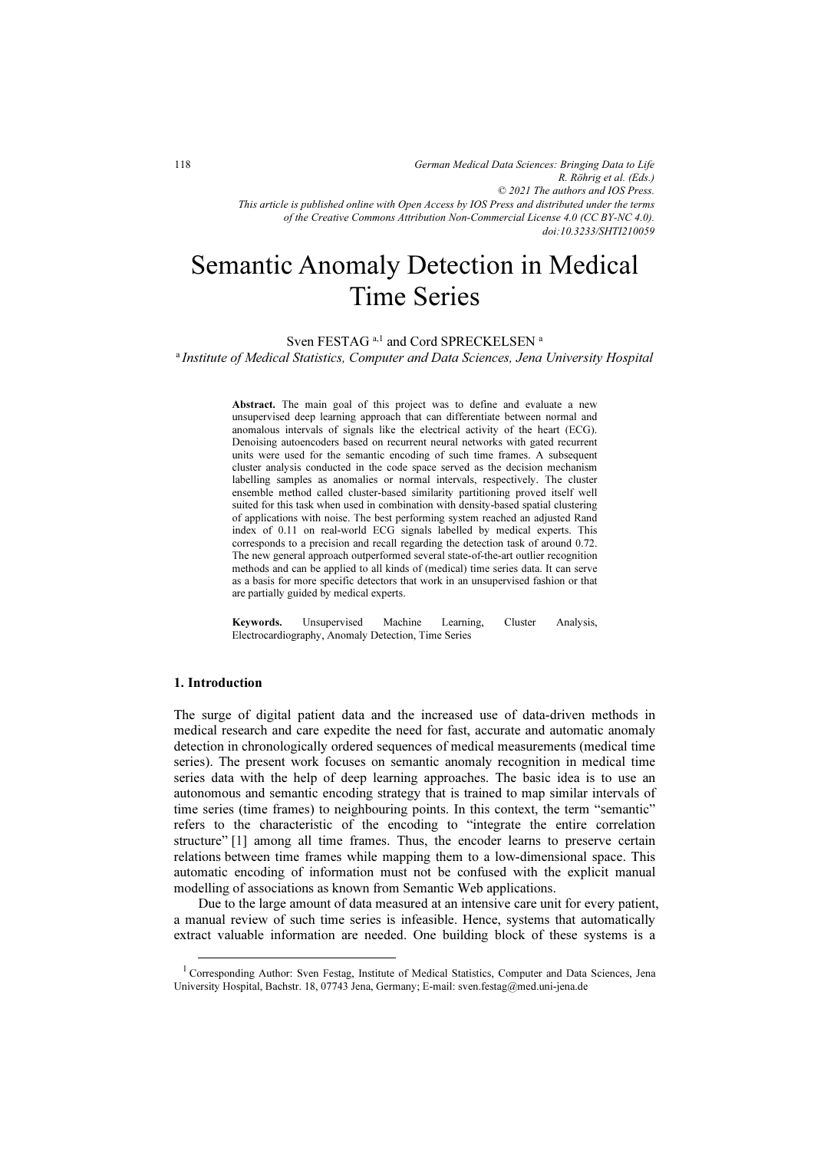*German Medical Data Sciences: Bringing Data to Life R. Röhrig et al. (Eds.) © 2021 The authors and IOS Press. This article is published online with Open Access by IOS Press and distributed under the terms of the Creative Commons Attribution Non-Commercial License 4.0 (CC BY-NC 4.0). doi:10.3233/SHTI210059*

# Semantic Anomaly Detection in Medical Time Series

Sven FESTAG<sup>a,1</sup> and Cord SPRECKELSEN<sup>a</sup>

<sup>a</sup> Institute of Medical Statistics, Computer and Data Sciences, Jena University Hospital

Abstract. The main goal of this project was to define and evaluate a new unsupervised deep learning approach that can differentiate between normal and anomalous intervals of signals like the electrical activity of the heart (ECG). Denoising autoencoders based on recurrent neural networks with gated recurrent units were used for the semantic encoding of such time frames. A subsequent cluster analysis conducted in the code space served as the decision mechanism labelling samples as anomalies or normal intervals, respectively. The cluster ensemble method called cluster-based similarity partitioning proved itself well suited for this task when used in combination with density-based spatial clustering of applications with noise. The best performing system reached an adjusted Rand index of 0.11 on real-world ECG signals labelled by medical experts. This corresponds to a precision and recall regarding the detection task of around 0.72. The new general approach outperformed several state-of-the-art outlier recognition methods and can be applied to all kinds of (medical) time series data. It can serve as a basis for more specific detectors that work in an unsupervised fashion or that are partially guided by medical experts.

Keywords. Unsupervised Machine Learning, Cluster Analysis, Electrocardiography, Anomaly Detection, Time Series

# 1. Introduction

The surge of digital patient data and the increased use of data-driven methods in medical research and care expedite the need for fast, accurate and automatic anomaly detection in chronologically ordered sequences of medical measurements (medical time series). The present work focuses on semantic anomaly recognition in medical time series data with the help of deep learning approaches. The basic idea is to use an autonomous and semantic encoding strategy that is trained to map similar intervals of time series (time frames) to neighbouring points. In this context, the term "semantic" refers to the characteristic of the encoding to "integrate the entire correlation structure" [1] among all time frames. Thus, the encoder learns to preserve certain relations between time frames while mapping them to a low-dimensional space. This automatic encoding of information must not be confused with the explicit manual modelling of associations as known from Semantic Web applications.

Due to the large amount of data measured at an intensive care unit for every patient, a manual review of such time series is infeasible. Hence, systems that automatically extract valuable information are needed. One building block of these systems is a

<sup>&</sup>lt;sup>1</sup> Corresponding Author: Sven Festag, Institute of Medical Statistics, Computer and Data Sciences, Jena University Hospital, Bachstr. 18, 07743 Jena, Germany; E-mail: sven.festag@med.uni-jena.de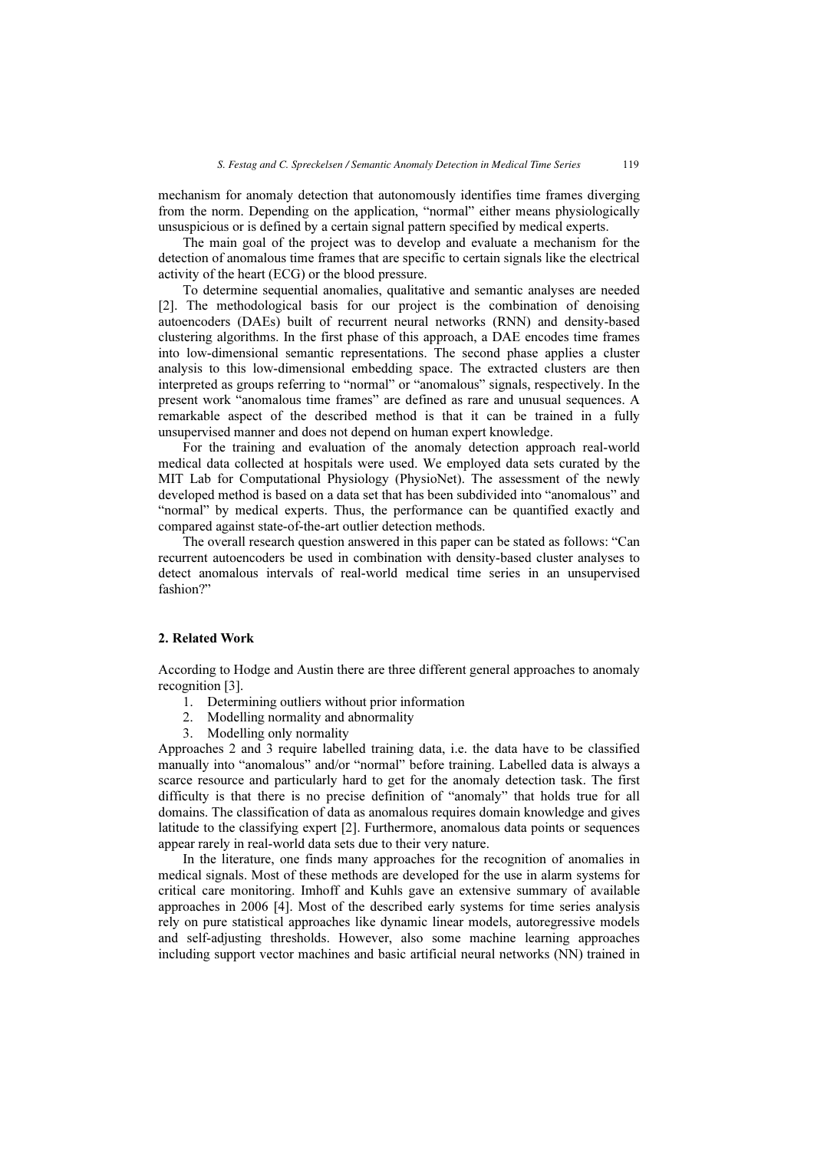mechanism for anomaly detection that autonomously identifies time frames diverging from the norm. Depending on the application, "normal" either means physiologically unsuspicious or is defined by a certain signal pattern specified by medical experts.

The main goal of the project was to develop and evaluate a mechanism for the detection of anomalous time frames that are specific to certain signals like the electrical activity of the heart (ECG) or the blood pressure.

To determine sequential anomalies, qualitative and semantic analyses are needed [2]. The methodological basis for our project is the combination of denoising autoencoders (DAEs) built of recurrent neural networks (RNN) and density-based clustering algorithms. In the first phase of this approach, a DAE encodes time frames into low-dimensional semantic representations. The second phase applies a cluster analysis to this low-dimensional embedding space. The extracted clusters are then interpreted as groups referring to "normal" or "anomalous" signals, respectively. In the present work "anomalous time frames" are defined as rare and unusual sequences. A remarkable aspect of the described method is that it can be trained in a fully unsupervised manner and does not depend on human expert knowledge.

For the training and evaluation of the anomaly detection approach real-world medical data collected at hospitals were used. We employed data sets curated by the MIT Lab for Computational Physiology (PhysioNet). The assessment of the newly developed method is based on a data set that has been subdivided into "anomalous" and "normal" by medical experts. Thus, the performance can be quantified exactly and compared against state-of-the-art outlier detection methods.

The overall research question answered in this paper can be stated as follows: "Can recurrent autoencoders be used in combination with density-based cluster analyses to detect anomalous intervals of real-world medical time series in an unsupervised fashion?"

# 2. Related Work

According to Hodge and Austin there are three different general approaches to anomaly recognition [3].

- 1. Determining outliers without prior information
- 2. Modelling normality and abnormality
- 3. Modelling only normality

Approaches 2 and 3 require labelled training data, i.e. the data have to be classified manually into "anomalous" and/or "normal" before training. Labelled data is always a scarce resource and particularly hard to get for the anomaly detection task. The first difficulty is that there is no precise definition of "anomaly" that holds true for all domains. The classification of data as anomalous requires domain knowledge and gives latitude to the classifying expert [2]. Furthermore, anomalous data points or sequences appear rarely in real-world data sets due to their very nature.

In the literature, one finds many approaches for the recognition of anomalies in medical signals. Most of these methods are developed for the use in alarm systems for critical care monitoring. Imhoff and Kuhls gave an extensive summary of available approaches in 2006 [4]. Most of the described early systems for time series analysis rely on pure statistical approaches like dynamic linear models, autoregressive models and self-adjusting thresholds. However, also some machine learning approaches including support vector machines and basic artificial neural networks (NN) trained in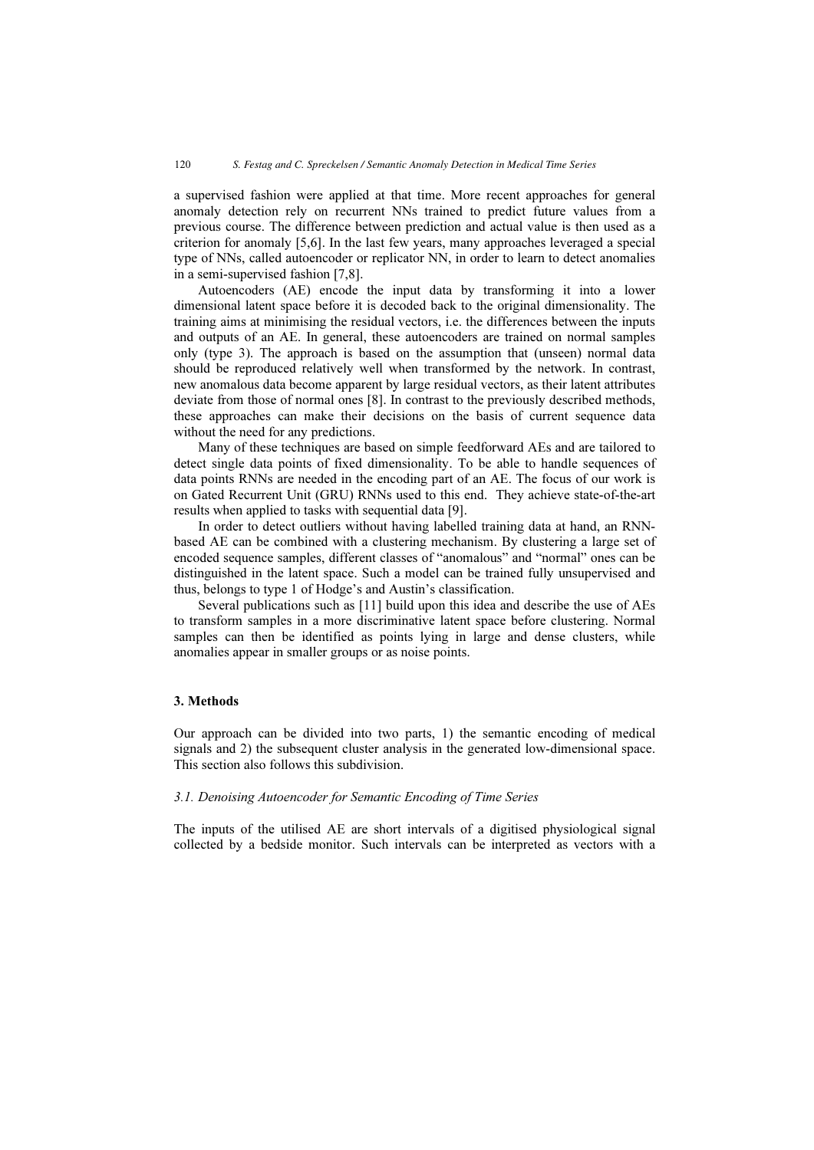a supervised fashion were applied at that time. More recent approaches for general anomaly detection rely on recurrent NNs trained to predict future values from a previous course. The difference between prediction and actual value is then used as a criterion for anomaly [5,6]. In the last few years, many approaches leveraged a special type of NNs, called autoencoder or replicator NN, in order to learn to detect anomalies in a semi-supervised fashion [7,8].

Autoencoders (AE) encode the input data by transforming it into a lower dimensional latent space before it is decoded back to the original dimensionality. The training aims at minimising the residual vectors, i.e. the differences between the inputs and outputs of an AE. In general, these autoencoders are trained on normal samples only (type 3). The approach is based on the assumption that (unseen) normal data should be reproduced relatively well when transformed by the network. In contrast, new anomalous data become apparent by large residual vectors, as their latent attributes deviate from those of normal ones [8]. In contrast to the previously described methods, these approaches can make their decisions on the basis of current sequence data without the need for any predictions.

Many of these techniques are based on simple feedforward AEs and are tailored to detect single data points of fixed dimensionality. To be able to handle sequences of data points RNNs are needed in the encoding part of an AE. The focus of our work is on Gated Recurrent Unit (GRU) RNNs used to this end. They achieve state-of-the-art results when applied to tasks with sequential data [9].

In order to detect outliers without having labelled training data at hand, an RNNbased AE can be combined with a clustering mechanism. By clustering a large set of encoded sequence samples, different classes of "anomalous" and "normal" ones can be distinguished in the latent space. Such a model can be trained fully unsupervised and thus, belongs to type 1 of Hodge's and Austin's classification.

Several publications such as [11] build upon this idea and describe the use of AEs to transform samples in a more discriminative latent space before clustering. Normal samples can then be identified as points lying in large and dense clusters, while anomalies appear in smaller groups or as noise points.

# 3. Methods

Our approach can be divided into two parts, 1) the semantic encoding of medical signals and 2) the subsequent cluster analysis in the generated low-dimensional space. This section also follows this subdivision.

### 3.1. Denoising Autoencoder for Semantic Encoding of Time Series

The inputs of the utilised AE are short intervals of a digitised physiological signal collected by a bedside monitor. Such intervals can be interpreted as vectors with a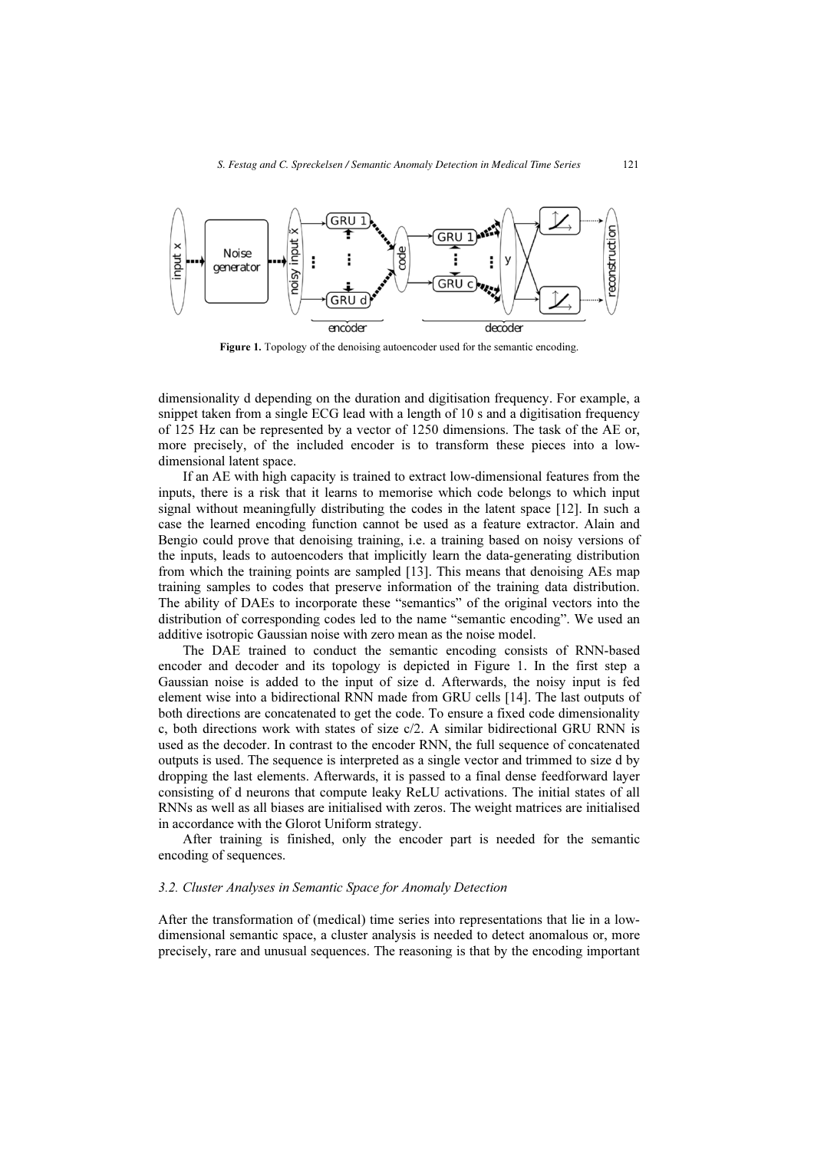

Figure 1. Topology of the denoising autoencoder used for the semantic encoding.

dimensionality d depending on the duration and digitisation frequency. For example, a snippet taken from a single ECG lead with a length of 10 s and a digitisation frequency of 125 Hz can be represented by a vector of 1250 dimensions. The task of the AE or, more precisely, of the included encoder is to transform these pieces into a lowdimensional latent space.

If an AE with high capacity is trained to extract low-dimensional features from the inputs, there is a risk that it learns to memorise which code belongs to which input signal without meaningfully distributing the codes in the latent space [12]. In such a case the learned encoding function cannot be used as a feature extractor. Alain and Bengio could prove that denoising training, i.e. a training based on noisy versions of the inputs, leads to autoencoders that implicitly learn the data-generating distribution from which the training points are sampled [13]. This means that denoising AEs map training samples to codes that preserve information of the training data distribution. The ability of DAEs to incorporate these "semantics" of the original vectors into the distribution of corresponding codes led to the name "semantic encoding". We used an additive isotropic Gaussian noise with zero mean as the noise model.

The DAE trained to conduct the semantic encoding consists of RNN-based encoder and decoder and its topology is depicted in Figure 1. In the first step a Gaussian noise is added to the input of size d. Afterwards, the noisy input is fed element wise into a bidirectional RNN made from GRU cells [14]. The last outputs of both directions are concatenated to get the code. To ensure a fixed code dimensionality c, both directions work with states of size c/2. A similar bidirectional GRU RNN is used as the decoder. In contrast to the encoder RNN, the full sequence of concatenated outputs is used. The sequence is interpreted as a single vector and trimmed to size d by dropping the last elements. Afterwards, it is passed to a final dense feedforward layer consisting of d neurons that compute leaky ReLU activations. The initial states of all RNNs as well as all biases are initialised with zeros. The weight matrices are initialised in accordance with the Glorot Uniform strategy.

After training is finished, only the encoder part is needed for the semantic encoding of sequences.

#### 3.2. Cluster Analyses in Semantic Space for Anomaly Detection

After the transformation of (medical) time series into representations that lie in a lowdimensional semantic space, a cluster analysis is needed to detect anomalous or, more precisely, rare and unusual sequences. The reasoning is that by the encoding important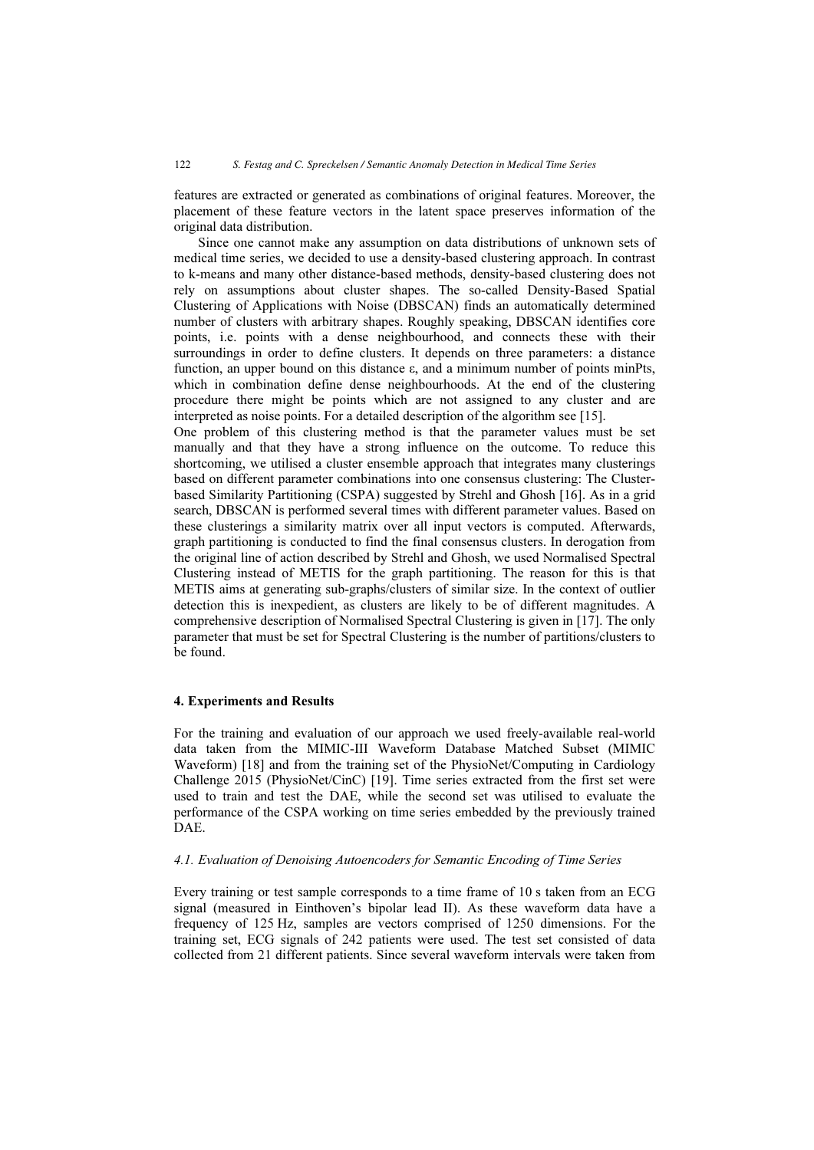features are extracted or generated as combinations of original features. Moreover, the placement of these feature vectors in the latent space preserves information of the original data distribution.

Since one cannot make any assumption on data distributions of unknown sets of medical time series, we decided to use a density-based clustering approach. In contrast to k-means and many other distance-based methods, density-based clustering does not rely on assumptions about cluster shapes. The so-called Density-Based Spatial Clustering of Applications with Noise (DBSCAN) finds an automatically determined number of clusters with arbitrary shapes. Roughly speaking, DBSCAN identifies core points, i.e. points with a dense neighbourhood, and connects these with their surroundings in order to define clusters. It depends on three parameters: a distance function, an upper bound on this distance ε, and a minimum number of points minPts, which in combination define dense neighbourhoods. At the end of the clustering procedure there might be points which are not assigned to any cluster and are interpreted as noise points. For a detailed description of the algorithm see [15].

One problem of this clustering method is that the parameter values must be set manually and that they have a strong influence on the outcome. To reduce this shortcoming, we utilised a cluster ensemble approach that integrates many clusterings based on different parameter combinations into one consensus clustering: The Clusterbased Similarity Partitioning (CSPA) suggested by Strehl and Ghosh [16]. As in a grid search, DBSCAN is performed several times with different parameter values. Based on these clusterings a similarity matrix over all input vectors is computed. Afterwards, graph partitioning is conducted to find the final consensus clusters. In derogation from the original line of action described by Strehl and Ghosh, we used Normalised Spectral Clustering instead of METIS for the graph partitioning. The reason for this is that METIS aims at generating sub-graphs/clusters of similar size. In the context of outlier detection this is inexpedient, as clusters are likely to be of different magnitudes. A comprehensive description of Normalised Spectral Clustering is given in [17]. The only parameter that must be set for Spectral Clustering is the number of partitions/clusters to be found.

# 4. Experiments and Results

For the training and evaluation of our approach we used freely-available real-world data taken from the MIMIC-III Waveform Database Matched Subset (MIMIC Waveform) [18] and from the training set of the PhysioNet/Computing in Cardiology Challenge 2015 (PhysioNet/CinC) [19]. Time series extracted from the first set were used to train and test the DAE, while the second set was utilised to evaluate the performance of the CSPA working on time series embedded by the previously trained DAE.

# 4.1. Evaluation of Denoising Autoencoders for Semantic Encoding of Time Series

Every training or test sample corresponds to a time frame of 10 s taken from an ECG signal (measured in Einthoven's bipolar lead II). As these waveform data have a frequency of 125 Hz, samples are vectors comprised of 1250 dimensions. For the training set, ECG signals of 242 patients were used. The test set consisted of data collected from 21 different patients. Since several waveform intervals were taken from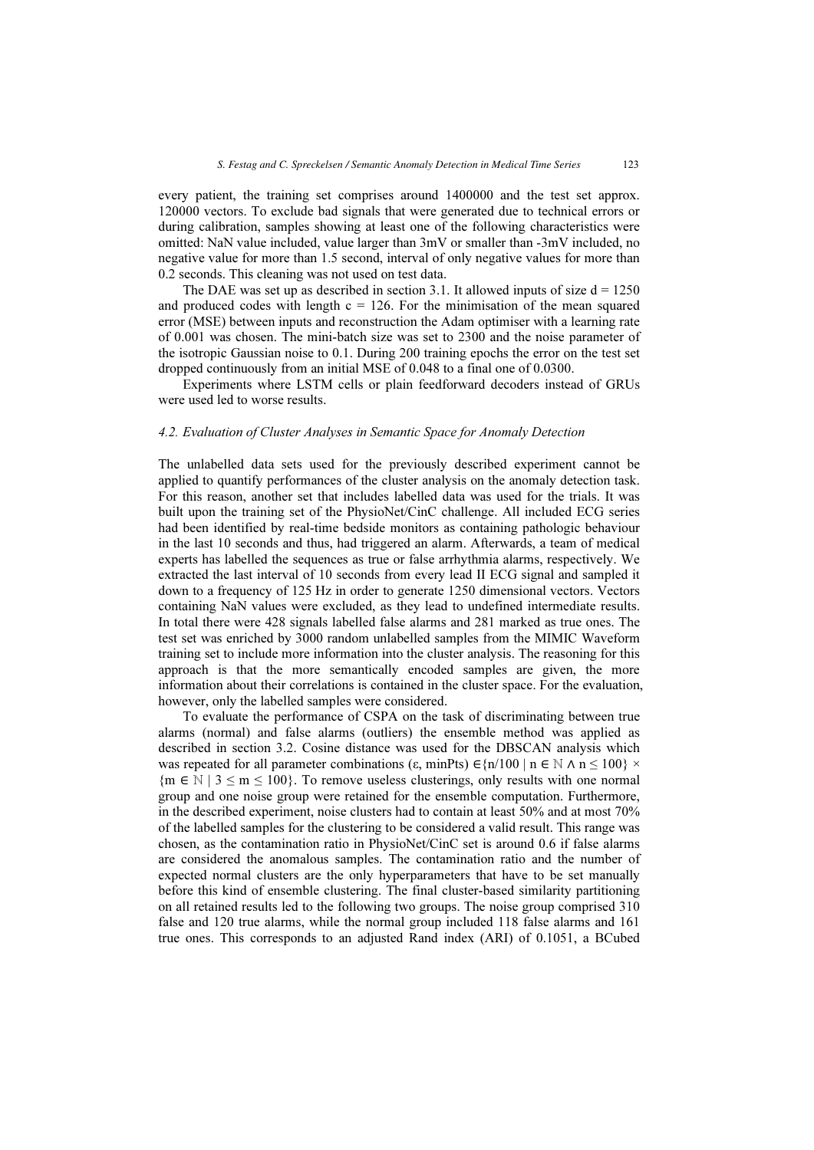every patient, the training set comprises around 1400000 and the test set approx. 120000 vectors. To exclude bad signals that were generated due to technical errors or during calibration, samples showing at least one of the following characteristics were omitted: NaN value included, value larger than 3mV or smaller than -3mV included, no negative value for more than 1.5 second, interval of only negative values for more than 0.2 seconds. This cleaning was not used on test data.

The DAE was set up as described in section 3.1. It allowed inputs of size  $d = 1250$ and produced codes with length  $c = 126$ . For the minimisation of the mean squared error (MSE) between inputs and reconstruction the Adam optimiser with a learning rate of 0.001 was chosen. The mini-batch size was set to 2300 and the noise parameter of the isotropic Gaussian noise to 0.1. During 200 training epochs the error on the test set dropped continuously from an initial MSE of 0.048 to a final one of 0.0300.

Experiments where LSTM cells or plain feedforward decoders instead of GRUs were used led to worse results.

## 4.2. Evaluation of Cluster Analyses in Semantic Space for Anomaly Detection

The unlabelled data sets used for the previously described experiment cannot be applied to quantify performances of the cluster analysis on the anomaly detection task. For this reason, another set that includes labelled data was used for the trials. It was built upon the training set of the PhysioNet/CinC challenge. All included ECG series had been identified by real-time bedside monitors as containing pathologic behaviour in the last 10 seconds and thus, had triggered an alarm. Afterwards, a team of medical experts has labelled the sequences as true or false arrhythmia alarms, respectively. We extracted the last interval of 10 seconds from every lead II ECG signal and sampled it down to a frequency of 125 Hz in order to generate 1250 dimensional vectors. Vectors containing NaN values were excluded, as they lead to undefined intermediate results. In total there were 428 signals labelled false alarms and 281 marked as true ones. The test set was enriched by 3000 random unlabelled samples from the MIMIC Waveform training set to include more information into the cluster analysis. The reasoning for this approach is that the more semantically encoded samples are given, the more information about their correlations is contained in the cluster space. For the evaluation, however, only the labelled samples were considered.

To evaluate the performance of CSPA on the task of discriminating between true alarms (normal) and false alarms (outliers) the ensemble method was applied as described in section 3.2. Cosine distance was used for the DBSCAN analysis which was repeated for all parameter combinations (ε, minPts)  $\in \{n/100 \mid n \in \mathbb{N} \land n \le 100\}$  ×  ${m \in \mathbb{N} \mid 3 \le m \le 100}$ . To remove useless clusterings, only results with one normal group and one noise group were retained for the ensemble computation. Furthermore, in the described experiment, noise clusters had to contain at least 50% and at most 70% of the labelled samples for the clustering to be considered a valid result. This range was chosen, as the contamination ratio in PhysioNet/CinC set is around 0.6 if false alarms are considered the anomalous samples. The contamination ratio and the number of expected normal clusters are the only hyperparameters that have to be set manually before this kind of ensemble clustering. The final cluster-based similarity partitioning on all retained results led to the following two groups. The noise group comprised 310 false and 120 true alarms, while the normal group included 118 false alarms and 161 true ones. This corresponds to an adjusted Rand index (ARI) of 0.1051, a BCubed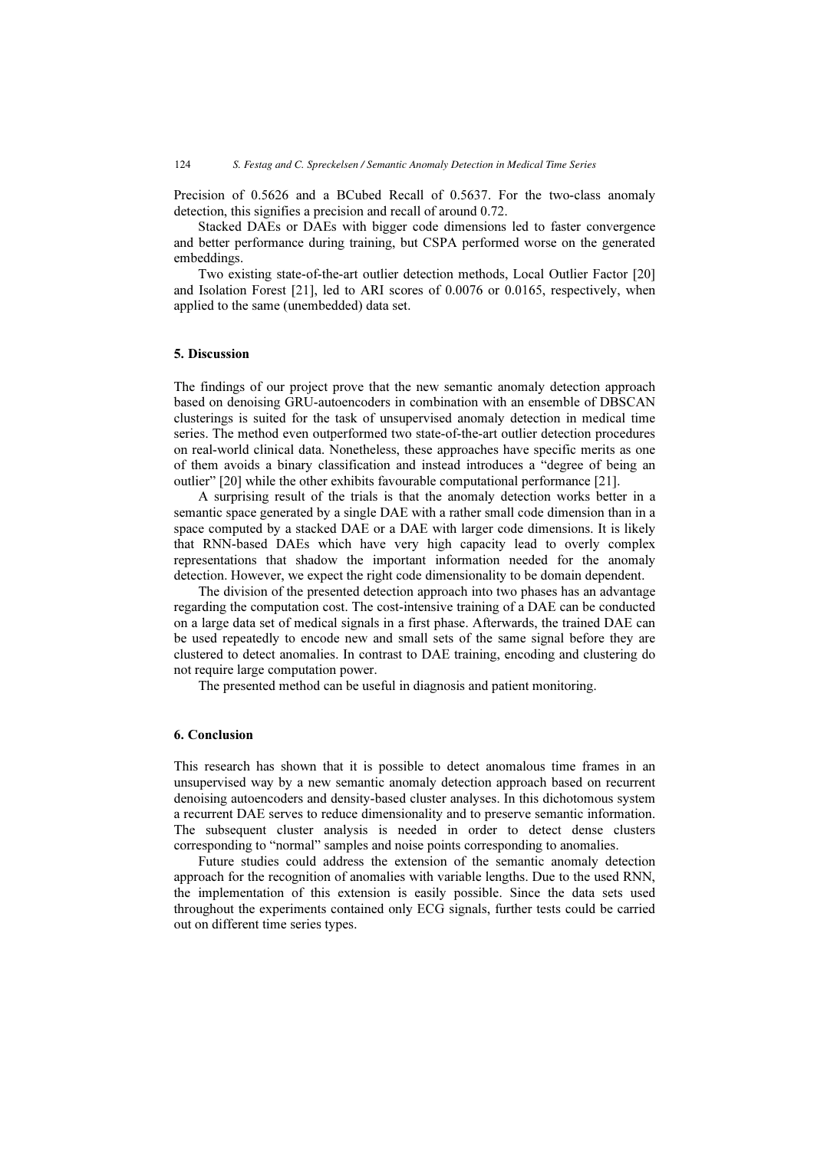Precision of 0.5626 and a BCubed Recall of 0.5637. For the two-class anomaly detection, this signifies a precision and recall of around 0.72.

Stacked DAEs or DAEs with bigger code dimensions led to faster convergence and better performance during training, but CSPA performed worse on the generated embeddings.

Two existing state-of-the-art outlier detection methods, Local Outlier Factor [20] and Isolation Forest [21], led to ARI scores of 0.0076 or 0.0165, respectively, when applied to the same (unembedded) data set.

### 5. Discussion

The findings of our project prove that the new semantic anomaly detection approach based on denoising GRU-autoencoders in combination with an ensemble of DBSCAN clusterings is suited for the task of unsupervised anomaly detection in medical time series. The method even outperformed two state-of-the-art outlier detection procedures on real-world clinical data. Nonetheless, these approaches have specific merits as one of them avoids a binary classification and instead introduces a "degree of being an outlier" [20] while the other exhibits favourable computational performance [21].

A surprising result of the trials is that the anomaly detection works better in a semantic space generated by a single DAE with a rather small code dimension than in a space computed by a stacked DAE or a DAE with larger code dimensions. It is likely that RNN-based DAEs which have very high capacity lead to overly complex representations that shadow the important information needed for the anomaly detection. However, we expect the right code dimensionality to be domain dependent.

The division of the presented detection approach into two phases has an advantage regarding the computation cost. The cost-intensive training of a DAE can be conducted on a large data set of medical signals in a first phase. Afterwards, the trained DAE can be used repeatedly to encode new and small sets of the same signal before they are clustered to detect anomalies. In contrast to DAE training, encoding and clustering do not require large computation power.

The presented method can be useful in diagnosis and patient monitoring.

# 6. Conclusion

This research has shown that it is possible to detect anomalous time frames in an unsupervised way by a new semantic anomaly detection approach based on recurrent denoising autoencoders and density-based cluster analyses. In this dichotomous system a recurrent DAE serves to reduce dimensionality and to preserve semantic information. The subsequent cluster analysis is needed in order to detect dense clusters corresponding to "normal" samples and noise points corresponding to anomalies.

Future studies could address the extension of the semantic anomaly detection approach for the recognition of anomalies with variable lengths. Due to the used RNN, the implementation of this extension is easily possible. Since the data sets used throughout the experiments contained only ECG signals, further tests could be carried out on different time series types.